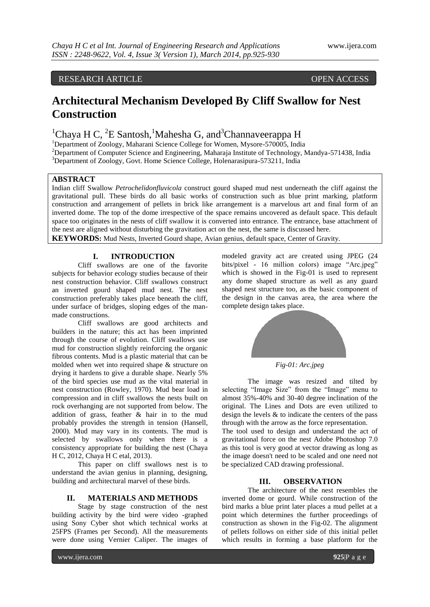## RESEARCH ARTICLE OPEN ACCESS

# **Architectural Mechanism Developed By Cliff Swallow for Nest Construction**

# ${}^{1}$ Chaya H C,  ${}^{2}E$  Santosh,<sup>1</sup>Mahesha G, and<sup>3</sup>Channaveerappa H

<sup>1</sup>Department of Zoology, Maharani Science College for Women, Mysore-570005, India <sup>2</sup>Department of Computer Science and Engineering, Maharaja Institute of Technology, Mandya-571438, India

<sup>3</sup>Department of Zoology, Govt. Home Science College, Holenarasipura-573211, India

## **ABSTRACT**

Indian cliff Swallow *Petrochelidonfluvicola* construct gourd shaped mud nest underneath the cliff against the gravitational pull. These birds do all basic works of construction such as blue print marking, platform construction and arrangement of pellets in brick like arrangement is a marvelous art and final form of an inverted dome. The top of the dome irrespective of the space remains uncovered as default space. This default space too originates in the nests of cliff swallow it is converted into entrance. The entrance, base attachment of the nest are aligned without disturbing the gravitation act on the nest, the same is discussed here.

**KEYWORDS:** Mud Nests, Inverted Gourd shape, Avian genius, default space, Center of Gravity.

### **I. INTRODUCTION**

Cliff swallows are one of the favorite subjects for behavior ecology studies because of their nest construction behavior. Cliff swallows construct an inverted gourd shaped mud nest. The nest construction preferably takes place beneath the cliff, under surface of bridges, sloping edges of the manmade constructions.

Cliff swallows are good architects and builders in the nature; this act has been imprinted through the course of evolution. Cliff swallows use mud for construction slightly reinforcing the organic fibrous contents. Mud is a plastic material that can be molded when wet into required shape & structure on drying it hardens to give a durable shape. Nearly 5% of the bird species use mud as the vital material in nest construction (Rowley, 1970). Mud bear load in compression and in cliff swallows the nests built on rock overhanging are not supported from below. The addition of grass, feather & hair in to the mud probably provides the strength in tension (Hansell, 2000). Mud may vary in its contents. The mud is selected by swallows only when there is a consistency appropriate for building the nest (Chaya H C, 2012, Chaya H C etal, 2013).

This paper on cliff swallows nest is to understand the avian genius in planning, designing, building and architectural marvel of these birds.

#### **II. MATERIALS AND METHODS**

Stage by stage construction of the nest building activity by the bird were video -graphed using Sony Cyber shot which technical works at 25FPS (Frames per Second). All the measurements were done using Vernier Caliper. The images of

modeled gravity act are created using JPEG (24 bits/pixel - 16 million colors) image "Arc.jpeg" which is showed in the Fig-01 is used to represent any dome shaped structure as well as any guard shaped nest structure too, as the basic component of the design in the canvas area, the area where the complete design takes place.



The image was resized and tilted by selecting "Image Size" from the "Image" menu to almost 35%-40% and 30-40 degree inclination of the original. The Lines and Dots are even utilized to design the levels  $\&$  to indicate the centers of the pass through with the arrow as the force representation. The tool used to design and understand the act of gravitational force on the nest Adobe Photoshop 7.0 as this tool is very good at vector drawing as long as the image doesn't need to be scaled and one need not be specialized CAD drawing professional.

#### **III. OBSERVATION**

The architecture of the nest resembles the inverted dome or gourd. While construction of the bird marks a blue print later places a mud pellet at a point which determines the further proceedings of construction as shown in the Fig-02. The alignment of pellets follows on either side of this initial pellet which results in forming a base platform for the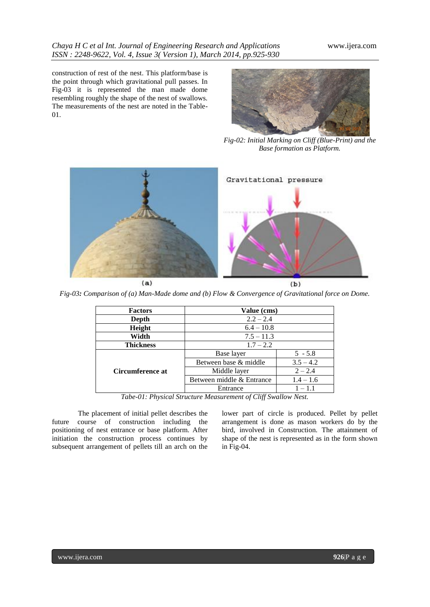construction of rest of the nest. This platform/base is the point through which gravitational pull passes. In Fig-03 it is represented the man made dome resembling roughly the shape of the nest of swallows. The measurements of the nest are noted in the Table-01.



*Fig-02: Initial Marking on Cliff (Blue-Print) and the Base formation as Platform.*



*Fig-03: Comparison of (a) Man-Made dome and (b) Flow & Convergence of Gravitational force on Dome.*

| <b>Factors</b>   | Value (cms)               |             |
|------------------|---------------------------|-------------|
| Depth            | $2.2 - 2.4$               |             |
| Height           | $6.4 - 10.8$              |             |
| Width            | $7.5 - 11.3$              |             |
| <b>Thickness</b> | $1.7 - 2.2$               |             |
| Circumference at | Base layer                | $5 - 5.8$   |
|                  | Between base & middle     | $3.5 - 4.2$ |
|                  | Middle layer              | $2 - 2.4$   |
|                  | Between middle & Entrance | $1.4 - 1.6$ |
|                  | Entrance                  | $1 - 1.1$   |

*Tabe-01: Physical Structure Measurement of Cliff Swallow Nest.*

The placement of initial pellet describes the future course of construction including the positioning of nest entrance or base platform. After initiation the construction process continues by subsequent arrangement of pellets till an arch on the

lower part of circle is produced. Pellet by pellet arrangement is done as mason workers do by the bird, involved in Construction. The attainment of shape of the nest is represented as in the form shown in Fig-04.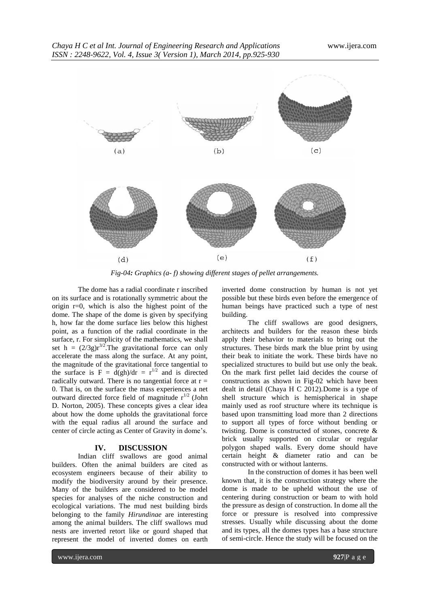

*Fig-04: Graphics (a- f) showing different stages of pellet arrangements.*

The dome has a radial coordinate r inscribed on its surface and is rotationally symmetric about the origin r=0, which is also the highest point of the dome. The shape of the dome is given by specifying h, how far the dome surface lies below this highest point, as a function of the radial coordinate in the surface, r. For simplicity of the mathematics, we shall set h =  $(2/3g)r^{3/2}$ . The gravitational force can only accelerate the mass along the surface. At any point, the magnitude of the gravitational force tangential to the surface is  $F = d(gh)/dr = r^{1/2}$  and is directed radically outward. There is no tangential force at  $r =$ 0. That is, on the surface the mass experiences a net outward directed force field of magnitude  $r^{1/2}$  (John D. Norton, 2005). These concepts gives a clear idea about how the dome upholds the gravitational force with the equal radius all around the surface and center of circle acting as Center of Gravity in dome's.

#### **IV. DISCUSSION**

Indian cliff swallows are good animal builders. Often the animal builders are cited as ecosystem engineers because of their ability to modify the biodiversity around by their presence. Many of the builders are considered to be model species for analyses of the niche construction and ecological variations. The mud nest building birds belonging to the family *Hirundinae* are interesting among the animal builders. The cliff swallows mud nests are inverted retort like or gourd shaped that represent the model of inverted domes on earth

inverted dome construction by human is not yet possible but these birds even before the emergence of human beings have practiced such a type of nest building.

The cliff swallows are good designers, architects and builders for the reason these birds apply their behavior to materials to bring out the structures. These birds mark the blue print by using their beak to initiate the work. These birds have no specialized structures to build but use only the beak. On the mark first pellet laid decides the course of constructions as shown in Fig-02 which have been dealt in detail (Chaya H C 2012).Dome is a type of shell structure which is hemispherical in shape mainly used as roof structure where its technique is based upon transmitting load more than 2 directions to support all types of force without bending or twisting. Dome is constructed of stones, concrete & brick usually supported on circular or regular polygon shaped walls. Every dome should have certain height & diameter ratio and can be constructed with or without lanterns.

In the construction of domes it has been well known that, it is the construction strategy where the dome is made to be upheld without the use of centering during construction or beam to with hold the pressure as design of construction. In dome all the force or pressure is resolved into compressive stresses. Usually while discussing about the dome and its types, all the domes types has a base structure of semi-circle. Hence the study will be focused on the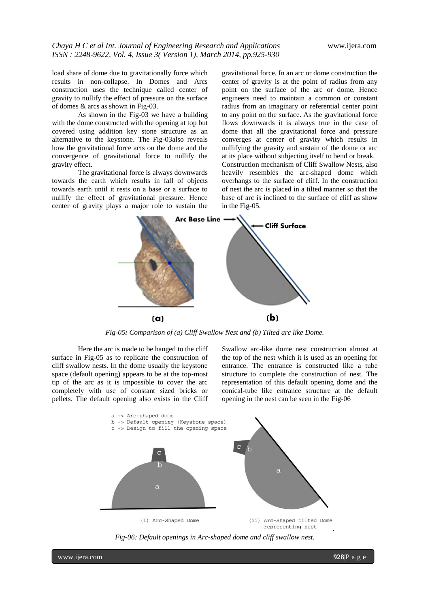load share of dome due to gravitationally force which results in non-collapse. In Domes and Arcs construction uses the technique called center of gravity to nullify the effect of pressure on the surface of domes & arcs as shown in Fig-03.

As shown in the Fig-03 we have a building with the dome constructed with the opening at top but covered using addition key stone structure as an alternative to the keystone. The Fig-03also reveals how the gravitational force acts on the dome and the convergence of gravitational force to nullify the gravity effect.

The gravitational force is always downwards towards the earth which results in fall of objects towards earth until it rests on a base or a surface to nullify the effect of gravitational pressure. Hence center of gravity plays a major role to sustain the

gravitational force. In an arc or dome construction the center of gravity is at the point of radius from any point on the surface of the arc or dome. Hence engineers need to maintain a common or constant radius from an imaginary or referential center point to any point on the surface. As the gravitational force flows downwards it is always true in the case of dome that all the gravitational force and pressure converges at center of gravity which results in nullifying the gravity and sustain of the dome or arc at its place without subjecting itself to bend or break. Construction mechanism of Cliff Swallow Nests, also heavily resembles the arc-shaped dome which overhangs to the surface of cliff. In the construction of nest the arc is placed in a tilted manner so that the base of arc is inclined to the surface of cliff as show in the Fig-05.



*Fig-05: Comparison of (a) Cliff Swallow Nest and (b) Tilted arc like Dome.*

Here the arc is made to be hanged to the cliff surface in Fig-05 as to replicate the construction of cliff swallow nests. In the dome usually the keystone space (default opening) appears to be at the top-most tip of the arc as it is impossible to cover the arc completely with use of constant sized bricks or pellets. The default opening also exists in the Cliff Swallow arc-like dome nest construction almost at the top of the nest which it is used as an opening for entrance. The entrance is constructed like a tube structure to complete the construction of nest. The representation of this default opening dome and the conical-tube like entrance structure at the default opening in the nest can be seen in the Fig-06



*Fig-06: Default openings in Arc-shaped dome and cliff swallow nest.*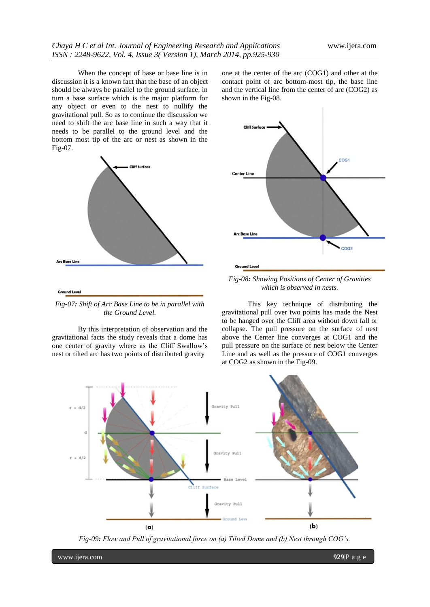When the concept of base or base line is in discussion it is a known fact that the base of an object should be always be parallel to the ground surface, in turn a base surface which is the major platform for any object or even to the nest to nullify the gravitational pull. So as to continue the discussion we need to shift the arc base line in such a way that it needs to be parallel to the ground level and the bottom most tip of the arc or nest as shown in the Fig-07.



*Fig-07: Shift of Arc Base Line to be in parallel with the Ground Level.*

By this interpretation of observation and the gravitational facts the study reveals that a dome has one center of gravity where as the Cliff Swallow's nest or tilted arc has two points of distributed gravity

one at the center of the arc (COG1) and other at the contact point of arc bottom-most tip, the base line and the vertical line from the center of arc (COG2) as shown in the Fig-08.



*Fig-08: Showing Positions of Center of Gravities which is observed in nests.*

This key technique of distributing the gravitational pull over two points has made the Nest to be hanged over the Cliff area without down fall or collapse. The pull pressure on the surface of nest above the Center line converges at COG1 and the pull pressure on the surface of nest below the Center Line and as well as the pressure of COG1 converges at COG2 as shown in the Fig-09.



*Fig-09: Flow and Pull of gravitational force on (a) Tilted Dome and (b) Nest through COG's.*

www.ijera.com **929**|P a g e